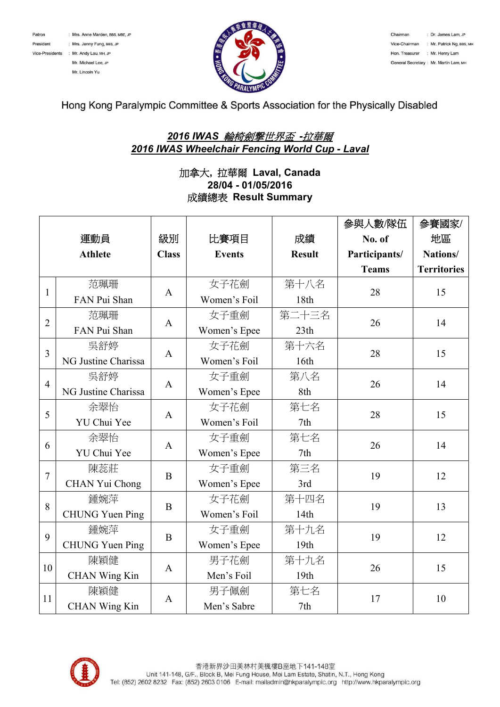



Chairman : Dr. James Lam, JP Vice-Chairman : Mr. Patrick Ng, BBS, MH Hon. Treasurer : Mr. Henry Lam General Secretary: Mr. Martin Lam. MH

Hong Kong Paralympic Committee & Sports Association for the Physically Disabled

## *2016 IWAS* 輪椅劍撃世界盃 *-*拉華爾 *2016 IWAS Wheelchair Fencing World Cup - Laval*

## 加拿大**,** 拉華爾 **Laval, Canada 28/04 - 01/05/2016** 成績總表 **Result Summary**

|                |                        |              |               |               | 參與人數/隊伍       | 參賽國家/              |
|----------------|------------------------|--------------|---------------|---------------|---------------|--------------------|
|                | 運動員                    | 級別           | 比賽項目          | 成績            | No. of        | 地區                 |
|                | <b>Athlete</b>         | <b>Class</b> | <b>Events</b> | <b>Result</b> | Participants/ | Nations/           |
|                |                        |              |               |               | <b>Teams</b>  | <b>Territories</b> |
| $\mathbf{1}$   | 范珮珊                    | $\mathbf{A}$ | 女子花劍          | 第十八名          | 28            | 15                 |
|                | FAN Pui Shan           |              | Women's Foil  | 18th          |               |                    |
| $\overline{2}$ | 范珮珊                    | $\mathbf{A}$ | 女子重劍          | 第二十三名         | 26            | 14                 |
|                | FAN Pui Shan           |              | Women's Epee  | 23th          |               |                    |
| 3              | 吳舒婷                    | A            | 女子花劍          | 第十六名          | 28            | 15                 |
|                | NG Justine Charissa    |              | Women's Foil  | 16th          |               |                    |
| $\overline{4}$ | 吳舒婷                    | A            | 女子重劍          | 第八名           | 26            | 14                 |
|                | NG Justine Charissa    |              | Women's Epee  | 8th           |               |                    |
| 5              | 余翠怡                    | A            | 女子花劍          | 第七名           | 28            | 15                 |
|                | YU Chui Yee            |              | Women's Foil  | 7th           |               |                    |
| 6              | 余翠怡                    | $\mathbf{A}$ | 女子重劍          | 第七名           | 26            | 14                 |
|                | YU Chui Yee            |              | Women's Epee  | 7th           |               |                    |
| $\overline{7}$ | 陳蕊莊                    | $\mathbf B$  | 女子重劍          | 第三名           | 19            | 12                 |
|                | CHAN Yui Chong         |              | Women's Epee  | 3rd           |               |                    |
| 8              | 鍾婉萍                    | $\bf{B}$     | 女子花劍          | 第十四名          | 19            | 13                 |
|                | <b>CHUNG Yuen Ping</b> |              | Women's Foil  | 14th          |               |                    |
| 9              | 鍾婉萍                    | $\bf{B}$     | 女子重劍          | 第十九名          | 19            | 12                 |
|                | <b>CHUNG Yuen Ping</b> |              | Women's Epee  | 19th          |               |                    |
| 10             | 陳穎健                    | A            | 男子花劍          | 第十九名          | 26            | 15                 |
|                | <b>CHAN Wing Kin</b>   |              | Men's Foil    | 19th          |               |                    |
| 11             | 陳穎健                    | $\mathbf{A}$ | 男子佩劍          | 第七名           | 17            | 10                 |
|                | <b>CHAN Wing Kin</b>   |              | Men's Sabre   | 7th           |               |                    |